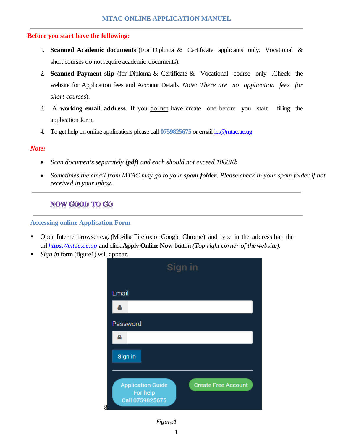### **Before you start have the following:**

- 1. **Scanned Academic documents** (For Diploma & Certificate applicants only. Vocational & short courses do not require academic documents).
- 2. **Scanned Payment slip** (for Diploma & Certificate & Vocational course only .Check the website for Application fees and Account Details. *Note: There are no application fees for short courses*).
- 3. A **working email address**. If you do not have create one before you start filling the application form.
- 4. To get help on online applications please call **0759825675** or emai[l ict@mtac.ac.ug](mailto:ict@mtac.ac.ug)

### *Note:*

- *Scan documents separately (pdf) and each should not exceed 1000Kb*
- *Sometimes the email from MTAC may go to your spam folder. Please check in your spam folder if not received in your inbox.*

# **NOW GOOD TO GO**

### **Accessing online Application Form**

- Open Internet browser e.g. (Mozilla Firefox or Google Chrome) and type in the address bar the url *[https://mtac.ac.ug](https://mtac.ac.ug/)* and click **Apply Online Now** button *(Top right corner of thewebsite).*
- *Sign in* form (figure1) will appear.



## *Figure1*

1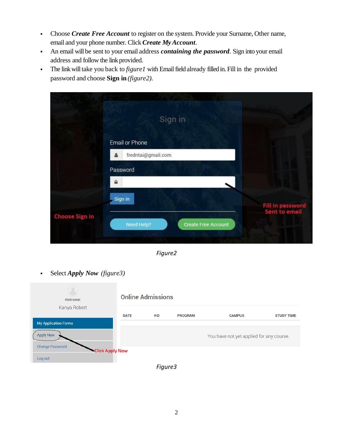- Choose *Create Free Account* to register on the system. Provide your Surname, Other name, email and your phone number. Click *Create MyAccount*.
- An email will be sent to your email address *containing the password*. Sign into your email address and follow the link provided.
- The link will take you back to *figure1* with Email field already filled in. Fill in the provided password and choose **Sign in** *(figure2).*

|                       | Sign in                                  |                                   |
|-----------------------|------------------------------------------|-----------------------------------|
|                       | Email or Phone                           |                                   |
|                       | fredntai@gmail.com                       |                                   |
|                       | Password                                 |                                   |
|                       | $\triangle$                              |                                   |
|                       | Sign in                                  |                                   |
| <b>Choose Sign in</b> |                                          | Fill in password<br>Sent to email |
|                       | Need Help?<br><b>Create Free Account</b> |                                   |

*Figure2*

Select *Apply Now (figure3)*

| Welcome,                                                    |             | <b>Online Admissions</b> |                |                                          |                   |
|-------------------------------------------------------------|-------------|--------------------------|----------------|------------------------------------------|-------------------|
| Kanya Robert                                                | <b>DATE</b> | #ID                      | <b>PROGRAM</b> | <b>CAMPUS</b>                            | <b>STUDY TIME</b> |
| <b>My Application Forms</b>                                 |             |                          |                |                                          |                   |
| <b>Apply Now</b>                                            |             |                          |                | You have not yet applied for any course. |                   |
| <b>Change Password</b><br><b>Click Apply Now</b><br>Log out |             |                          |                |                                          |                   |

*Figure3*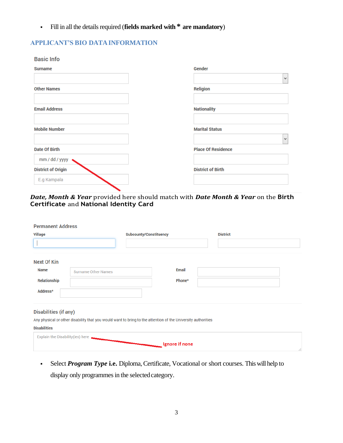Fill in all the details required (**fields marked with \* are mandatory**)

### **APPLICANT'S BIO DATAINFORMATION**

| $\mathbf{v}$ |
|--------------|
|              |
|              |
|              |
| $\forall$    |
|              |
|              |
|              |
|              |

#### *Date, Month & Year* provided here should match with *Date Month & Year* on the **Birth Certificate** and **National Identity Card**

| <b>Permanent Address</b>                 |                            |                               |                                                                                                              |                 |  |
|------------------------------------------|----------------------------|-------------------------------|--------------------------------------------------------------------------------------------------------------|-----------------|--|
| <b>Village</b>                           |                            | <b>Subcounty/Constituency</b> |                                                                                                              | <b>District</b> |  |
|                                          |                            |                               |                                                                                                              |                 |  |
| <b>Next Of Kin</b>                       |                            |                               |                                                                                                              |                 |  |
| <b>Name</b>                              | <b>Surname Other Names</b> |                               | <b>Email</b>                                                                                                 |                 |  |
| <b>Relationship</b>                      |                            |                               | Phone*                                                                                                       |                 |  |
| Address*                                 |                            |                               |                                                                                                              |                 |  |
| <b>Disabilities (if any)</b>             |                            |                               | Any physical or other disability that you would want to bring to the attention of the University authorities |                 |  |
| <b>Disabilities</b>                      |                            |                               |                                                                                                              |                 |  |
| <b>Explain the Disability (ies) here</b> |                            |                               | Ignore if none                                                                                               |                 |  |

 Select *Program Type* **i.e.** Diploma, Certificate, Vocational or short courses. This will help to display only programmes in the selected category.